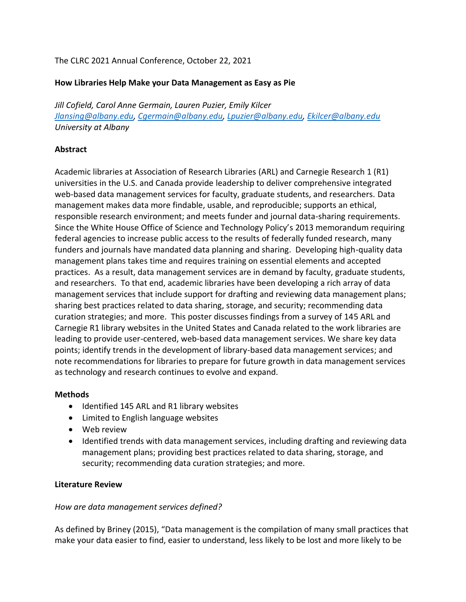## The CLRC 2021 Annual Conference, October 22, 2021

### **How Libraries Help Make your Data Management as Easy as Pie**

*Jill Cofield, Carol Anne Germain, Lauren Puzier, Emily Kilcer [Jlansing@albany.edu,](mailto:Jansing@albany.edu) [Cgermain@albany.edu,](mailto:Cgermain@albany.edu) [Lpuzier@albany.edu,](mailto:Lpuzier@albany.edu) [Ekilcer@albany.edu](mailto:Ekilcer@albany.edu) University at Albany*

### **Abstract**

Academic libraries at Association of Research Libraries (ARL) and Carnegie Research 1 (R1) universities in the U.S. and Canada provide leadership to deliver comprehensive integrated web-based data management services for faculty, graduate students, and researchers. Data management makes data more findable, usable, and reproducible; supports an ethical, responsible research environment; and meets funder and journal data-sharing requirements. Since the [White House Office of Science and Technology Policy'](https://obamawhitehouse.archives.gov/sites/default/files/microsites/ostp/ostp_public_access_memo_2013.pdf)s 2013 memorandum requiring federal agencies to increase public access to the results of federally funded research, many funders and journals have mandated data planning and sharing. Developing high-quality data management plans takes time and requires training on essential elements and accepted practices. As a result, data management services are in demand by faculty, graduate students, and researchers. To that end, academic libraries have been developing a rich array of data management services that include support for drafting and reviewing data management plans; sharing best practices related to data sharing, storage, and security; recommending data curation strategies; and more. This poster discusses findings from a survey of 145 ARL and Carnegie R1 library websites in the United States and Canada related to the work libraries are leading to provide user-centered, web-based data management services. We share key data points; identify trends in the development of library-based data management services; and note recommendations for libraries to prepare for future growth in data management services as technology and research continues to evolve and expand.

### **Methods**

- Identified 145 ARL and R1 library websites
- Limited to English language websites
- Web review
- Identified trends with data management services, including drafting and reviewing data management plans; providing best practices related to data sharing, storage, and security; recommending data curation strategies; and more.

### **Literature Review**

### *How are data management services defined?*

As defined by Briney (2015), "Data management is the compilation of many small practices that make your data easier to find, easier to understand, less likely to be lost and more likely to be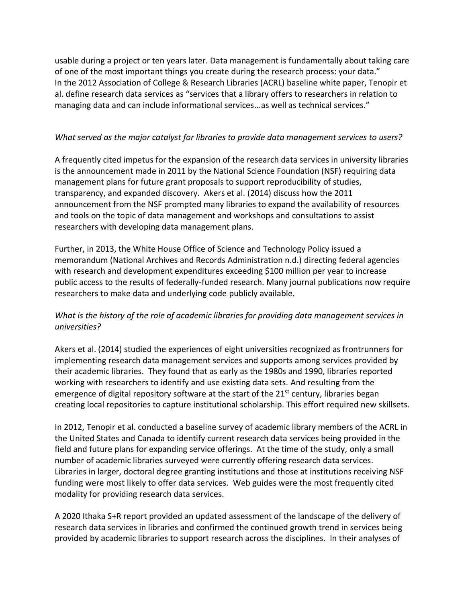usable during a project or ten years later. Data management is fundamentally about taking care of one of the most important things you create during the research process: your data." In the 2012 Association of College & Research Libraries (ACRL) baseline white paper, Tenopir et al. define research data services as "services that a library offers to researchers in relation to managing data and can include informational services...as well as technical services."

## *What served as the major catalyst for libraries to provide data management services to users?*

A frequently cited impetus for the expansion of the research data services in university libraries is the announcement made in 2011 by the National Science Foundation (NSF) requiring data management plans for future grant proposals to support reproducibility of studies, transparency, and expanded discovery. Akers et al. (2014) discuss how the 2011 announcement from the NSF prompted many libraries to expand the availability of resources and tools on the topic of data management and workshops and consultations to assist researchers with developing data management plans.

Further, in 2013, the White House Office of Science and Technology Policy issued a memorandum (National Archives and Records Administration n.d.) directing federal agencies with research and development expenditures exceeding \$100 million per year to increase public access to the results of federally-funded research. Many journal publications now require researchers to make data and underlying code publicly available.

# *What is the history of the role of academic libraries for providing data management services in universities?*

Akers et al. (2014) studied the experiences of eight universities recognized as frontrunners for implementing research data management services and supports among services provided by their academic libraries. They found that as early as the 1980s and 1990, libraries reported working with researchers to identify and use existing data sets. And resulting from the emergence of digital repository software at the start of the  $21<sup>st</sup>$  century, libraries began creating local repositories to capture institutional scholarship. This effort required new skillsets.

In 2012, Tenopir et al. conducted a baseline survey of academic library members of the ACRL in the United States and Canada to identify current research data services being provided in the field and future plans for expanding service offerings. At the time of the study, only a small number of academic libraries surveyed were currently offering research data services. Libraries in larger, doctoral degree granting institutions and those at institutions receiving NSF funding were most likely to offer data services. Web guides were the most frequently cited modality for providing research data services.

A 2020 Ithaka S+R report provided an updated assessment of the landscape of the delivery of research data services in libraries and confirmed the continued growth trend in services being provided by academic libraries to support research across the disciplines. In their analyses of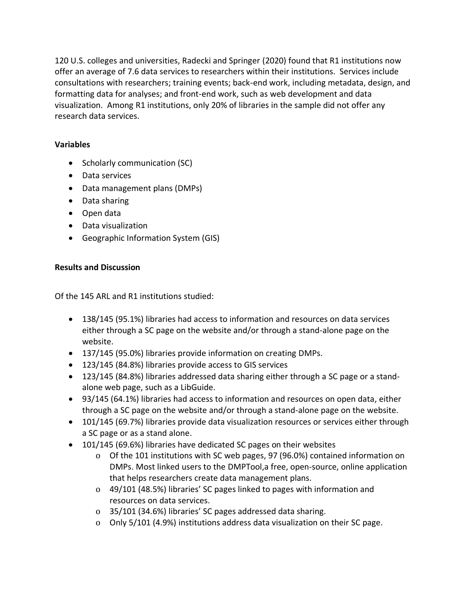120 U.S. colleges and universities, Radecki and Springer (2020) found that R1 institutions now offer an average of 7.6 data services to researchers within their institutions. Services include consultations with researchers; training events; back-end work, including metadata, design, and formatting data for analyses; and front-end work, such as web development and data visualization. Among R1 institutions, only 20% of libraries in the sample did not offer any research data services.

# **Variables**

- Scholarly communication (SC)
- Data services
- Data management plans (DMPs)
- Data sharing
- Open data
- Data visualization
- Geographic Information System (GIS)

# **Results and Discussion**

Of the 145 ARL and R1 institutions studied:

- 138/145 (95.1%) libraries had access to information and resources on data services either through a SC page on the website and/or through a stand-alone page on the website.
- 137/145 (95.0%) libraries provide information on creating DMPs.
- 123/145 (84.8%) libraries provide access to GIS services
- 123/145 (84.8%) libraries addressed data sharing either through a SC page or a standalone web page, such as a LibGuide.
- 93/145 (64.1%) libraries had access to information and resources on open data, either through a SC page on the website and/or through a stand-alone page on the website.
- 101/145 (69.7%) libraries provide data visualization resources or services either through a SC page or as a stand alone.
- 101/145 (69.6%) libraries have dedicated SC pages on their websites
	- o Of the 101 institutions with SC web pages, 97 (96.0%) contained information on DMPs. Most linked users to the [DMPTool,a](https://dmptool.org/) free, open-source, online application that helps researchers create data management plans.
	- o 49/101 (48.5%) libraries' SC pages linked to pages with information and resources on data services.
	- o 35/101 (34.6%) libraries' SC pages addressed data sharing.
	- o Only 5/101 (4.9%) institutions address data visualization on their SC page.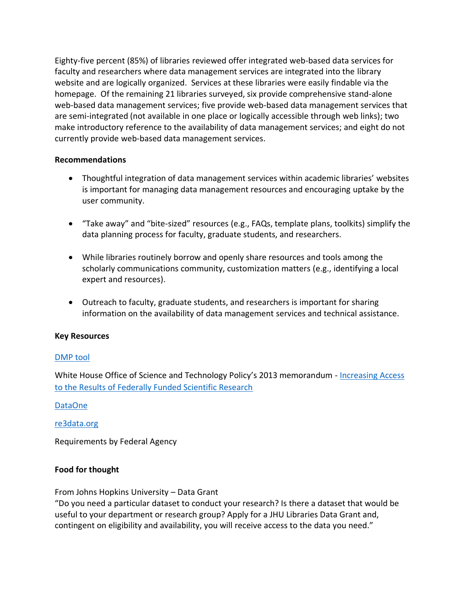Eighty-five percent (85%) of libraries reviewed offer integrated web-based data services for faculty and researchers where data management services are integrated into the library website and are logically organized. Services at these libraries were easily findable via the homepage. Of the remaining 21 libraries surveyed, six provide comprehensive stand-alone web-based data management services; five provide web-based data management services that are semi-integrated (not available in one place or logically accessible through web links); two make introductory reference to the availability of data management services; and eight do not currently provide web-based data management services.

### **Recommendations**

- Thoughtful integration of data management services within academic libraries' websites is important for managing data management resources and encouraging uptake by the user community.
- "Take away" and "bite-sized" resources (e.g., FAQs, template plans, toolkits) simplify the data planning process for faculty, graduate students, and researchers.
- While libraries routinely borrow and openly share resources and tools among the scholarly communications community, customization matters (e.g., identifying a local expert and resources).
- Outreach to faculty, graduate students, and researchers is important for sharing information on the availability of data management services and technical assistance.

### **Key Resources**

## [DMP tool](https://dmptool.org/)

White House Office of Science and Technology Policy's 2013 memorandum - Increasing Access [to the Results of Federally Funded Scientific Research](https://obamawhitehouse.archives.gov/sites/default/files/microsites/ostp/ostp_public_access_memo_2013.pdf)

### [DataOne](https://www.dataone.org/)

### [re3data.org](https://www.re3data.org/)

Requirements by Federal Agency

### **Food for thought**

From Johns Hopkins University – Data Grant

"Do you need a particular dataset to conduct your research? Is there a dataset that would be useful to your department or research group? Apply for a JHU Libraries Data Grant and, contingent on eligibility and availability, you will receive access to the data you need."